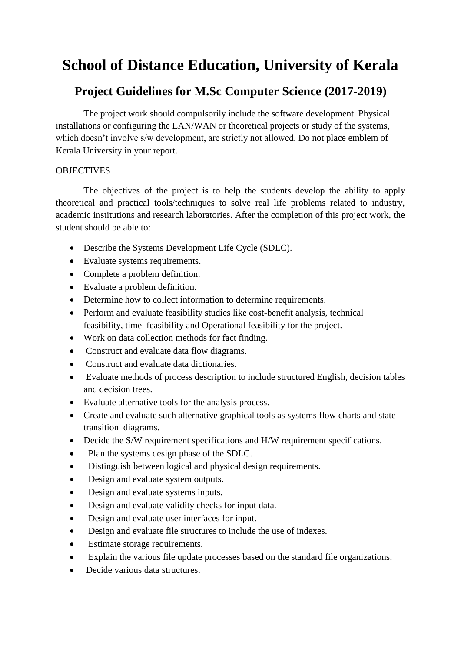# **School of Distance Education, University of Kerala**

# **Project Guidelines for M.Sc Computer Science (2017-2019)**

The project work should compulsorily include the software development. Physical installations or configuring the LAN/WAN or theoretical projects or study of the systems, which doesn't involve s/w development, are strictly not allowed. Do not place emblem of Kerala University in your report.

## **OBJECTIVES**

The objectives of the project is to help the students develop the ability to apply theoretical and practical tools/techniques to solve real life problems related to industry, academic institutions and research laboratories. After the completion of this project work, the student should be able to:

- Describe the Systems Development Life Cycle (SDLC).
- Evaluate systems requirements.
- Complete a problem definition.
- Evaluate a problem definition.
- Determine how to collect information to determine requirements.
- Perform and evaluate feasibility studies like cost-benefit analysis, technical feasibility, time feasibility and Operational feasibility for the project.
- Work on data collection methods for fact finding.
- Construct and evaluate data flow diagrams.
- Construct and evaluate data dictionaries.
- Evaluate methods of process description to include structured English, decision tables and decision trees.
- Evaluate alternative tools for the analysis process.
- Create and evaluate such alternative graphical tools as systems flow charts and state transition diagrams.
- Decide the S/W requirement specifications and H/W requirement specifications.
- Plan the systems design phase of the SDLC.
- Distinguish between logical and physical design requirements.
- Design and evaluate system outputs.
- Design and evaluate systems inputs.
- Design and evaluate validity checks for input data.
- Design and evaluate user interfaces for input.
- Design and evaluate file structures to include the use of indexes.
- Estimate storage requirements.
- Explain the various file update processes based on the standard file organizations.
- Decide various data structures.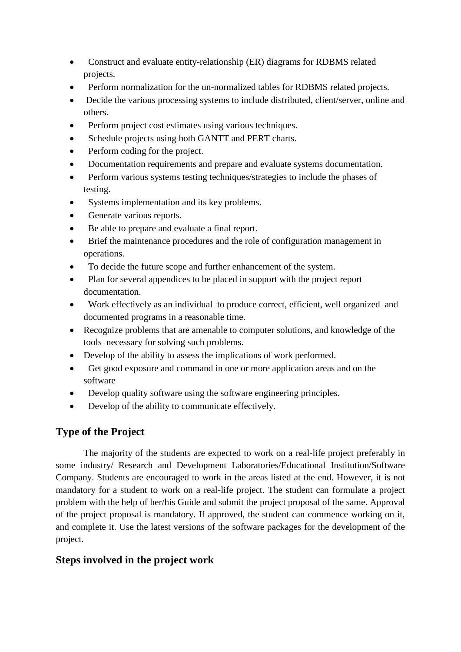- Construct and evaluate entity-relationship (ER) diagrams for RDBMS related projects.
- Perform normalization for the un-normalized tables for RDBMS related projects.
- Decide the various processing systems to include distributed, client/server, online and others.
- Perform project cost estimates using various techniques.
- Schedule projects using both GANTT and PERT charts.
- Perform coding for the project.
- Documentation requirements and prepare and evaluate systems documentation.
- Perform various systems testing techniques/strategies to include the phases of testing.
- Systems implementation and its key problems.
- Generate various reports.
- Be able to prepare and evaluate a final report.
- Brief the maintenance procedures and the role of configuration management in operations.
- To decide the future scope and further enhancement of the system.
- Plan for several appendices to be placed in support with the project report documentation.
- Work effectively as an individual to produce correct, efficient, well organized and documented programs in a reasonable time.
- Recognize problems that are amenable to computer solutions, and knowledge of the tools necessary for solving such problems.
- Develop of the ability to assess the implications of work performed.
- Get good exposure and command in one or more application areas and on the software
- Develop quality software using the software engineering principles.
- Develop of the ability to communicate effectively.

## **Type of the Project**

The majority of the students are expected to work on a real-life project preferably in some industry/ Research and Development Laboratories/Educational Institution/Software Company. Students are encouraged to work in the areas listed at the end. However, it is not mandatory for a student to work on a real-life project. The student can formulate a project problem with the help of her/his Guide and submit the project proposal of the same. Approval of the project proposal is mandatory. If approved, the student can commence working on it, and complete it. Use the latest versions of the software packages for the development of the project.

## **Steps involved in the project work**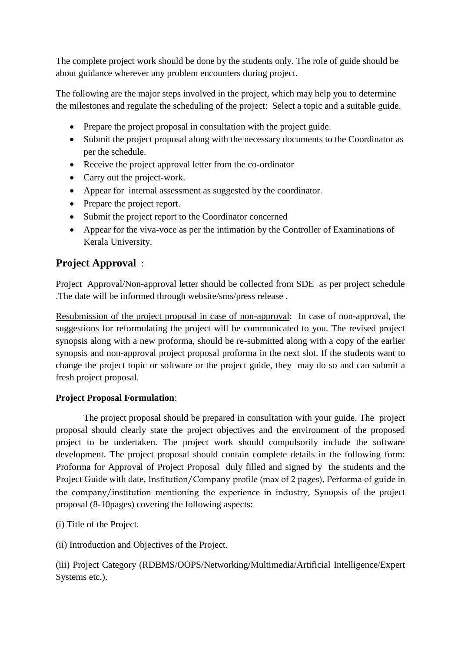The complete project work should be done by the students only. The role of guide should be about guidance wherever any problem encounters during project.

The following are the major steps involved in the project, which may help you to determine the milestones and regulate the scheduling of the project: Select a topic and a suitable guide.

- Prepare the project proposal in consultation with the project guide.
- Submit the project proposal along with the necessary documents to the Coordinator as per the schedule.
- Receive the project approval letter from the co-ordinator
- Carry out the project-work.
- Appear for internal assessment as suggested by the coordinator.
- Prepare the project report.
- Submit the project report to the Coordinator concerned
- Appear for the viva-voce as per the intimation by the Controller of Examinations of Kerala University.

## **Project Approval** :

Project Approval/Non-approval letter should be collected from SDE as per project schedule .The date will be informed through website/sms/press release .

Resubmission of the project proposal in case of non-approval: In case of non-approval, the suggestions for reformulating the project will be communicated to you. The revised project synopsis along with a new proforma, should be re-submitted along with a copy of the earlier synopsis and non-approval project proposal proforma in the next slot. If the students want to change the project topic or software or the project guide, they may do so and can submit a fresh project proposal.

## **Project Proposal Formulation**:

The project proposal should be prepared in consultation with your guide. The project proposal should clearly state the project objectives and the environment of the proposed project to be undertaken. The project work should compulsorily include the software development. The project proposal should contain complete details in the following form: Proforma for Approval of Project Proposal duly filled and signed by the students and the Project Guide with date, Institution/Company profile (max of 2 pages), Performa of guide in the company/institution mentioning the experience in industry, Synopsis of the project proposal (8-10pages) covering the following aspects:

(i) Title of the Project.

(ii) Introduction and Objectives of the Project.

(iii) Project Category (RDBMS/OOPS/Networking/Multimedia/Artificial Intelligence/Expert Systems etc.).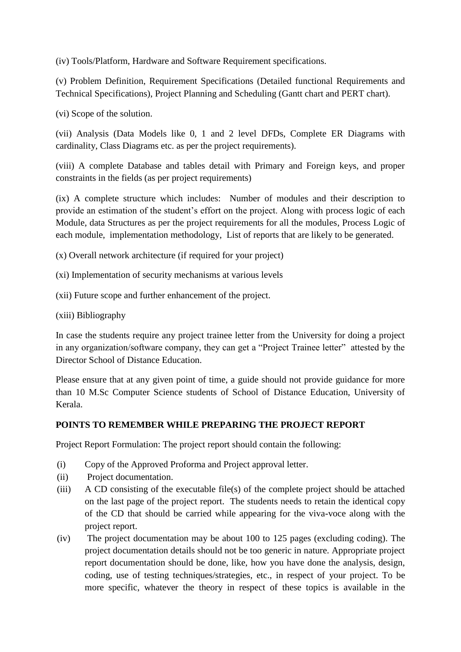(iv) Tools/Platform, Hardware and Software Requirement specifications.

(v) Problem Definition, Requirement Specifications (Detailed functional Requirements and Technical Specifications), Project Planning and Scheduling (Gantt chart and PERT chart).

(vi) Scope of the solution.

(vii) Analysis (Data Models like 0, 1 and 2 level DFDs, Complete ER Diagrams with cardinality, Class Diagrams etc. as per the project requirements).

(viii) A complete Database and tables detail with Primary and Foreign keys, and proper constraints in the fields (as per project requirements)

(ix) A complete structure which includes: Number of modules and their description to provide an estimation of the student's effort on the project. Along with process logic of each Module, data Structures as per the project requirements for all the modules, Process Logic of each module, implementation methodology, List of reports that are likely to be generated.

(x) Overall network architecture (if required for your project)

(xi) Implementation of security mechanisms at various levels

(xii) Future scope and further enhancement of the project.

(xiii) Bibliography

In case the students require any project trainee letter from the University for doing a project in any organization/software company, they can get a "Project Trainee letter" attested by the Director School of Distance Education.

Please ensure that at any given point of time, a guide should not provide guidance for more than 10 M.Sc Computer Science students of School of Distance Education, University of Kerala.

## **POINTS TO REMEMBER WHILE PREPARING THE PROJECT REPORT**

Project Report Formulation: The project report should contain the following:

- (i) Copy of the Approved Proforma and Project approval letter.
- (ii) Project documentation.
- (iii) A CD consisting of the executable file(s) of the complete project should be attached on the last page of the project report. The students needs to retain the identical copy of the CD that should be carried while appearing for the viva-voce along with the project report.
- (iv) The project documentation may be about 100 to 125 pages (excluding coding). The project documentation details should not be too generic in nature. Appropriate project report documentation should be done, like, how you have done the analysis, design, coding, use of testing techniques/strategies, etc., in respect of your project. To be more specific, whatever the theory in respect of these topics is available in the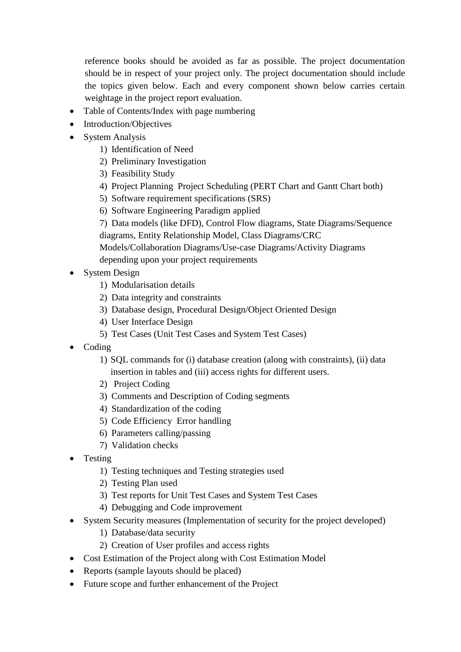reference books should be avoided as far as possible. The project documentation should be in respect of your project only. The project documentation should include the topics given below. Each and every component shown below carries certain weightage in the project report evaluation.

- Table of Contents/Index with page numbering
- Introduction/Objectives
- System Analysis
	- 1) Identification of Need
	- 2) Preliminary Investigation
	- 3) Feasibility Study
	- 4) Project Planning Project Scheduling (PERT Chart and Gantt Chart both)
	- 5) Software requirement specifications (SRS)
	- 6) Software Engineering Paradigm applied
	- 7) Data models (like DFD), Control Flow diagrams, State Diagrams/Sequence diagrams, Entity Relationship Model, Class Diagrams/CRC

Models/Collaboration Diagrams/Use-case Diagrams/Activity Diagrams depending upon your project requirements

- System Design
	- 1) Modularisation details
	- 2) Data integrity and constraints
	- 3) Database design, Procedural Design/Object Oriented Design
	- 4) User Interface Design
	- 5) Test Cases (Unit Test Cases and System Test Cases)
- Coding
	- 1) SQL commands for (i) database creation (along with constraints), (ii) data insertion in tables and (iii) access rights for different users.
	- 2) Project Coding
	- 3) Comments and Description of Coding segments
	- 4) Standardization of the coding
	- 5) Code Efficiency Error handling
	- 6) Parameters calling/passing
	- 7) Validation checks
- Testing
	- 1) Testing techniques and Testing strategies used
	- 2) Testing Plan used
	- 3) Test reports for Unit Test Cases and System Test Cases
	- 4) Debugging and Code improvement
- System Security measures (Implementation of security for the project developed)
	- 1) Database/data security
	- 2) Creation of User profiles and access rights
- Cost Estimation of the Project along with Cost Estimation Model
- Reports (sample layouts should be placed)
- Future scope and further enhancement of the Project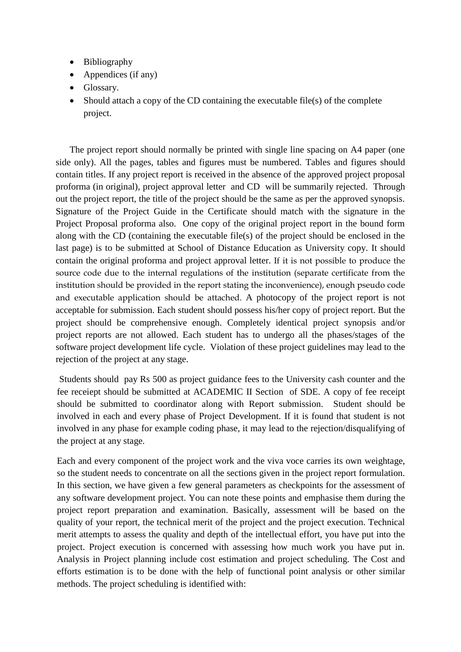- Bibliography
- Appendices (if any)
- Glossary.
- $\bullet$  Should attach a copy of the CD containing the executable file(s) of the complete project.

The project report should normally be printed with single line spacing on A4 paper (one side only). All the pages, tables and figures must be numbered. Tables and figures should contain titles. If any project report is received in the absence of the approved project proposal proforma (in original), project approval letter and CD will be summarily rejected. Through out the project report, the title of the project should be the same as per the approved synopsis. Signature of the Project Guide in the Certificate should match with the signature in the Project Proposal proforma also. One copy of the original project report in the bound form along with the CD (containing the executable file(s) of the project should be enclosed in the last page) is to be submitted at School of Distance Education as University copy. It should contain the original proforma and project approval letter. If it is not possible to produce the source code due to the internal regulations of the institution (separate certificate from the institution should be provided in the report stating the inconvenience), enough pseudo code and executable application should be attached. A photocopy of the project report is not acceptable for submission. Each student should possess his/her copy of project report. But the project should be comprehensive enough. Completely identical project synopsis and/or project reports are not allowed. Each student has to undergo all the phases/stages of the software project development life cycle. Violation of these project guidelines may lead to the rejection of the project at any stage.

Students should pay Rs 500 as project guidance fees to the University cash counter and the fee receiept should be submitted at ACADEMIC II Section of SDE. A copy of fee receipt should be submitted to coordinator along with Report submission. Student should be involved in each and every phase of Project Development. If it is found that student is not involved in any phase for example coding phase, it may lead to the rejection/disqualifying of the project at any stage.

Each and every component of the project work and the viva voce carries its own weightage, so the student needs to concentrate on all the sections given in the project report formulation. In this section, we have given a few general parameters as checkpoints for the assessment of any software development project. You can note these points and emphasise them during the project report preparation and examination. Basically, assessment will be based on the quality of your report, the technical merit of the project and the project execution. Technical merit attempts to assess the quality and depth of the intellectual effort, you have put into the project. Project execution is concerned with assessing how much work you have put in. Analysis in Project planning include cost estimation and project scheduling. The Cost and efforts estimation is to be done with the help of functional point analysis or other similar methods. The project scheduling is identified with: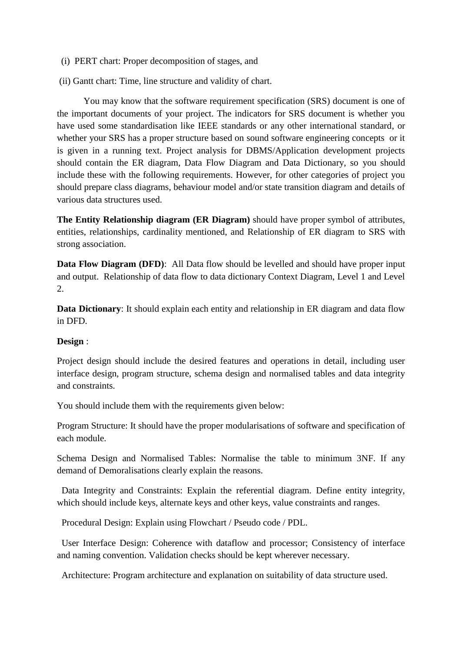- (i) PERT chart: Proper decomposition of stages, and
- (ii) Gantt chart: Time, line structure and validity of chart.

You may know that the software requirement specification (SRS) document is one of the important documents of your project. The indicators for SRS document is whether you have used some standardisation like IEEE standards or any other international standard, or whether your SRS has a proper structure based on sound software engineering concepts or it is given in a running text. Project analysis for DBMS/Application development projects should contain the ER diagram, Data Flow Diagram and Data Dictionary, so you should include these with the following requirements. However, for other categories of project you should prepare class diagrams, behaviour model and/or state transition diagram and details of various data structures used.

**The Entity Relationship diagram (ER Diagram)** should have proper symbol of attributes, entities, relationships, cardinality mentioned, and Relationship of ER diagram to SRS with strong association.

**Data Flow Diagram (DFD)**: All Data flow should be levelled and should have proper input and output. Relationship of data flow to data dictionary Context Diagram, Level 1 and Level 2.

**Data Dictionary:** It should explain each entity and relationship in ER diagram and data flow in DFD.

#### **Design** :

Project design should include the desired features and operations in detail, including user interface design, program structure, schema design and normalised tables and data integrity and constraints.

You should include them with the requirements given below:

Program Structure: It should have the proper modularisations of software and specification of each module.

Schema Design and Normalised Tables: Normalise the table to minimum 3NF. If any demand of Demoralisations clearly explain the reasons.

 Data Integrity and Constraints: Explain the referential diagram. Define entity integrity, which should include keys, alternate keys and other keys, value constraints and ranges.

Procedural Design: Explain using Flowchart / Pseudo code / PDL.

 User Interface Design: Coherence with dataflow and processor; Consistency of interface and naming convention. Validation checks should be kept wherever necessary.

Architecture: Program architecture and explanation on suitability of data structure used.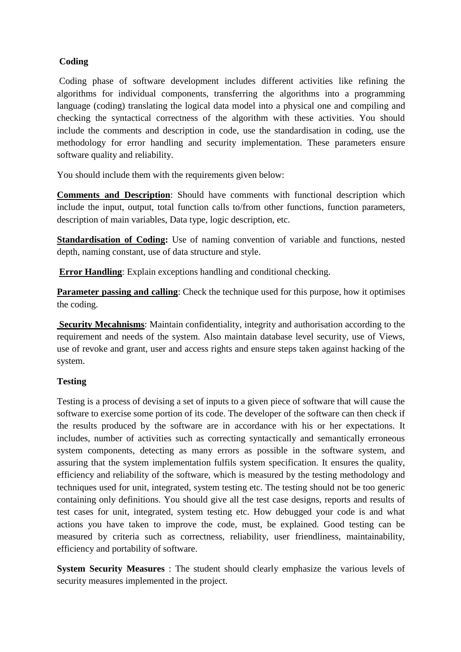## **Coding**

Coding phase of software development includes different activities like refining the algorithms for individual components, transferring the algorithms into a programming language (coding) translating the logical data model into a physical one and compiling and checking the syntactical correctness of the algorithm with these activities. You should include the comments and description in code, use the standardisation in coding, use the methodology for error handling and security implementation. These parameters ensure software quality and reliability.

You should include them with the requirements given below:

**Comments and Description**: Should have comments with functional description which include the input, output, total function calls to/from other functions, function parameters, description of main variables, Data type, logic description, etc.

**Standardisation of Coding:** Use of naming convention of variable and functions, nested depth, naming constant, use of data structure and style.

**Error Handling**: Explain exceptions handling and conditional checking.

**Parameter passing and calling**: Check the technique used for this purpose, how it optimises the coding.

**Security Mecahnisms**: Maintain confidentiality, integrity and authorisation according to the requirement and needs of the system. Also maintain database level security, use of Views, use of revoke and grant, user and access rights and ensure steps taken against hacking of the system.

## **Testing**

Testing is a process of devising a set of inputs to a given piece of software that will cause the software to exercise some portion of its code. The developer of the software can then check if the results produced by the software are in accordance with his or her expectations. It includes, number of activities such as correcting syntactically and semantically erroneous system components, detecting as many errors as possible in the software system, and assuring that the system implementation fulfils system specification. It ensures the quality, efficiency and reliability of the software, which is measured by the testing methodology and techniques used for unit, integrated, system testing etc. The testing should not be too generic containing only definitions. You should give all the test case designs, reports and results of test cases for unit, integrated, system testing etc. How debugged your code is and what actions you have taken to improve the code, must, be explained. Good testing can be measured by criteria such as correctness, reliability, user friendliness, maintainability, efficiency and portability of software.

**System Security Measures** : The student should clearly emphasize the various levels of security measures implemented in the project.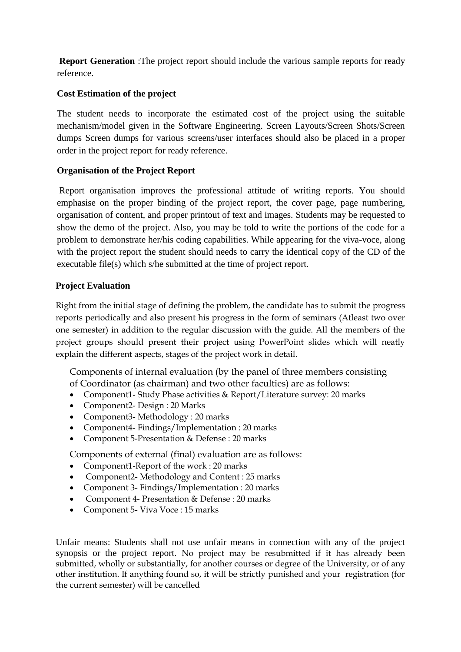**Report Generation** :The project report should include the various sample reports for ready reference.

## **Cost Estimation of the project**

The student needs to incorporate the estimated cost of the project using the suitable mechanism/model given in the Software Engineering. Screen Layouts/Screen Shots/Screen dumps Screen dumps for various screens/user interfaces should also be placed in a proper order in the project report for ready reference.

## **Organisation of the Project Report**

Report organisation improves the professional attitude of writing reports. You should emphasise on the proper binding of the project report, the cover page, page numbering, organisation of content, and proper printout of text and images. Students may be requested to show the demo of the project. Also, you may be told to write the portions of the code for a problem to demonstrate her/his coding capabilities. While appearing for the viva-voce, along with the project report the student should needs to carry the identical copy of the CD of the executable file(s) which s/he submitted at the time of project report.

## **Project Evaluation**

Right from the initial stage of defining the problem, the candidate has to submit the progress reports periodically and also present his progress in the form of seminars (Atleast two over one semester) in addition to the regular discussion with the guide. All the members of the project groups should present their project using PowerPoint slides which will neatly explain the different aspects, stages of the project work in detail.

Components of internal evaluation (by the panel of three members consisting of Coordinator (as chairman) and two other faculties) are as follows:

- Component1- Study Phase activities & Report/Literature survey: 20 marks
- Component2- Design : 20 Marks
- Component3- Methodology : 20 marks
- Component4- Findings/Implementation : 20 marks
- Component 5-Presentation & Defense : 20 marks

Components of external (final) evaluation are as follows:

- Component1-Report of the work : 20 marks
- Component2- Methodology and Content : 25 marks
- Component 3- Findings/Implementation : 20 marks
- Component 4- Presentation & Defense : 20 marks
- Component 5- Viva Voce : 15 marks

Unfair means: Students shall not use unfair means in connection with any of the project synopsis or the project report. No project may be resubmitted if it has already been submitted, wholly or substantially, for another courses or degree of the University, or of any other institution. If anything found so, it will be strictly punished and your registration (for the current semester) will be cancelled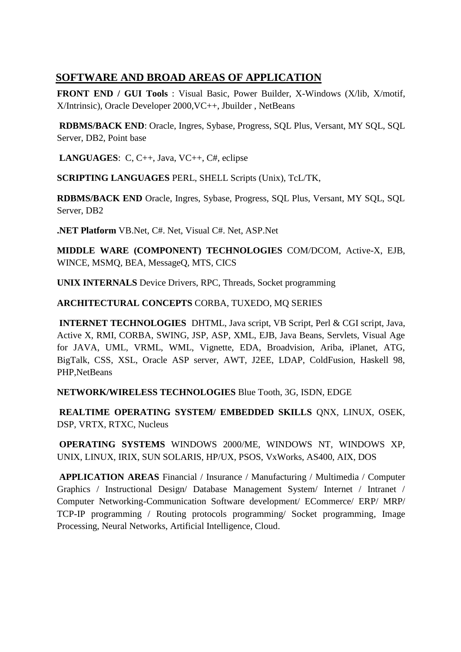## **SOFTWARE AND BROAD AREAS OF APPLICATION**

**FRONT END / GUI Tools** : Visual Basic, Power Builder, X-Windows (X/lib, X/motif, X/Intrinsic), Oracle Developer 2000,VC++, Jbuilder , NetBeans

**RDBMS/BACK END**: Oracle, Ingres, Sybase, Progress, SQL Plus, Versant, MY SQL, SQL Server, DB2, Point base

**LANGUAGES**: C, C++, Java, VC++, C#, eclipse

**SCRIPTING LANGUAGES** PERL, SHELL Scripts (Unix), TcL/TK,

**RDBMS/BACK END** Oracle, Ingres, Sybase, Progress, SQL Plus, Versant, MY SQL, SQL Server, DB2

**.NET Platform** VB.Net, C#. Net, Visual C#. Net, ASP.Net

**MIDDLE WARE (COMPONENT) TECHNOLOGIES** COM/DCOM, Active-X, EJB, WINCE, MSMQ, BEA, MessageQ, MTS, CICS

**UNIX INTERNALS** Device Drivers, RPC, Threads, Socket programming

**ARCHITECTURAL CONCEPTS** CORBA, TUXEDO, MQ SERIES

**INTERNET TECHNOLOGIES** DHTML, Java script, VB Script, Perl & CGI script, Java, Active X, RMI, CORBA, SWING, JSP, ASP, XML, EJB, Java Beans, Servlets, Visual Age for JAVA, UML, VRML, WML, Vignette, EDA, Broadvision, Ariba, iPlanet, ATG, BigTalk, CSS, XSL, Oracle ASP server, AWT, J2EE, LDAP, ColdFusion, Haskell 98, PHP,NetBeans

**NETWORK/WIRELESS TECHNOLOGIES** Blue Tooth, 3G, ISDN, EDGE

**REALTIME OPERATING SYSTEM/ EMBEDDED SKILLS ONX, LINUX, OSEK,** DSP, VRTX, RTXC, Nucleus

**OPERATING SYSTEMS** WINDOWS 2000/ME, WINDOWS NT, WINDOWS XP, UNIX, LINUX, IRIX, SUN SOLARIS, HP/UX, PSOS, VxWorks, AS400, AIX, DOS

**APPLICATION AREAS** Financial / Insurance / Manufacturing / Multimedia / Computer Graphics / Instructional Design/ Database Management System/ Internet / Intranet / Computer Networking-Communication Software development/ ECommerce/ ERP/ MRP/ TCP-IP programming / Routing protocols programming/ Socket programming, Image Processing, Neural Networks, Artificial Intelligence, Cloud.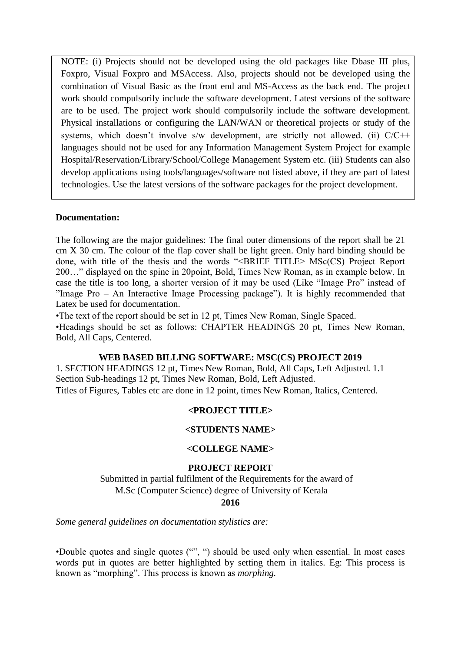NOTE: (i) Projects should not be developed using the old packages like Dbase III plus, Foxpro, Visual Foxpro and MSAccess. Also, projects should not be developed using the combination of Visual Basic as the front end and MS-Access as the back end. The project work should compulsorily include the software development. Latest versions of the software are to be used. The project work should compulsorily include the software development. Physical installations or configuring the LAN/WAN or theoretical projects or study of the systems, which doesn't involve s/w development, are strictly not allowed. (ii) C/C++ languages should not be used for any Information Management System Project for example Hospital/Reservation/Library/School/College Management System etc. (iii) Students can also develop applications using tools/languages/software not listed above, if they are part of latest technologies. Use the latest versions of the software packages for the project development.

#### **Documentation:**

The following are the major guidelines: The final outer dimensions of the report shall be 21 cm X 30 cm. The colour of the flap cover shall be light green. Only hard binding should be done, with title of the thesis and the words "<BRIEF TITLE> MSc(CS) Project Report 200…" displayed on the spine in 20point, Bold, Times New Roman, as in example below. In case the title is too long, a shorter version of it may be used (Like "Image Pro" instead of "Image Pro – An Interactive Image Processing package"). It is highly recommended that Latex be used for documentation.

•The text of the report should be set in 12 pt, Times New Roman, Single Spaced. •Headings should be set as follows: CHAPTER HEADINGS 20 pt, Times New Roman, Bold, All Caps, Centered.

#### **WEB BASED BILLING SOFTWARE: MSC(CS) PROJECT 2019**

1. SECTION HEADINGS 12 pt, Times New Roman, Bold, All Caps, Left Adjusted. 1.1 Section Sub-headings 12 pt, Times New Roman, Bold, Left Adjusted. Titles of Figures, Tables etc are done in 12 point, times New Roman, Italics, Centered.

## **<PROJECT TITLE>**

#### **<STUDENTS NAME>**

#### **<COLLEGE NAME>**

#### **PROJECT REPORT**

Submitted in partial fulfilment of the Requirements for the award of M.Sc (Computer Science) degree of University of Kerala

#### **2016**

*Some general guidelines on documentation stylistics are:*

•Double quotes and single quotes ("", ") should be used only when essential. In most cases words put in quotes are better highlighted by setting them in italics. Eg: This process is known as "morphing". This process is known as *morphing.*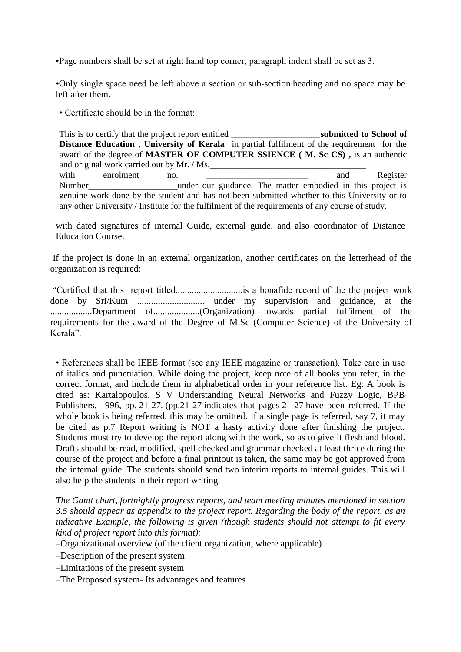•Page numbers shall be set at right hand top corner, paragraph indent shall be set as 3.

•Only single space need be left above a section or sub-section heading and no space may be left after them.

• Certificate should be in the format:

This is to certify that the project report entitled **Example 10 submitted to School of**  $\blacksquare$ **Distance Education , University of Kerala** in partial fulfilment of the requirement for the award of the degree of **MASTER OF COMPUTER SSIENCE ( M. Sc CS) ,** is an authentic and original work carried out by Mr. / Ms. with enrolment no. <u>\_\_\_\_\_\_\_\_\_\_\_\_\_\_\_\_\_\_\_\_\_\_\_</u> and Register Number and under our guidance. The matter embodied in this project is genuine work done by the student and has not been submitted whether to this University or to any other University / Institute for the fulfilment of the requirements of any course of study.

with dated signatures of internal Guide, external guide, and also coordinator of Distance Education Course.

If the project is done in an external organization, another certificates on the letterhead of the organization is required:

"Certified that this report titled.............................is a bonafide record of the the project work done by Sri/Kum ............................. under my supervision and guidance, at the ..................Department of....................(Organization) towards partial fulfilment of the requirements for the award of the Degree of M.Sc (Computer Science) of the University of Kerala".

• References shall be IEEE format (see any IEEE magazine or transaction). Take care in use of italics and punctuation. While doing the project, keep note of all books you refer, in the correct format, and include them in alphabetical order in your reference list. Eg: A book is cited as: Kartalopoulos, S V Understanding Neural Networks and Fuzzy Logic, BPB Publishers, 1996, pp. 21-27. (pp.21-27 indicates that pages 21-27 have been referred. If the whole book is being referred, this may be omitted. If a single page is referred, say 7, it may be cited as p.7 Report writing is NOT a hasty activity done after finishing the project. Students must try to develop the report along with the work, so as to give it flesh and blood. Drafts should be read, modified, spell checked and grammar checked at least thrice during the course of the project and before a final printout is taken, the same may be got approved from the internal guide. The students should send two interim reports to internal guides. This will also help the students in their report writing.

*The Gantt chart, fortnightly progress reports, and team meeting minutes mentioned in section 3.5 should appear as appendix to the project report. Regarding the body of the report, as an indicative Example, the following is given (though students should not attempt to fit every kind of project report into this format):*

–Organizational overview (of the client organization, where applicable)

–Description of the present system

–Limitations of the present system

–The Proposed system- Its advantages and features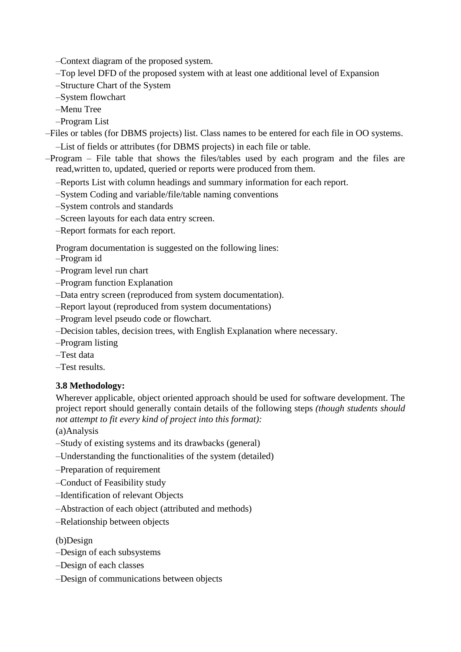–Context diagram of the proposed system.

–Top level DFD of the proposed system with at least one additional level of Expansion

–Structure Chart of the System

–System flowchart

–Menu Tree

–Program List

–Files or tables (for DBMS projects) list. Class names to be entered for each file in OO systems.

–List of fields or attributes (for DBMS projects) in each file or table.

–Program – File table that shows the files/tables used by each program and the files are read,written to, updated, queried or reports were produced from them.

–Reports List with column headings and summary information for each report.

–System Coding and variable/file/table naming conventions

–System controls and standards

–Screen layouts for each data entry screen.

–Report formats for each report.

Program documentation is suggested on the following lines:

- –Program id
- –Program level run chart
- –Program function Explanation
- –Data entry screen (reproduced from system documentation).
- –Report layout (reproduced from system documentations)
- –Program level pseudo code or flowchart.
- –Decision tables, decision trees, with English Explanation where necessary.
- –Program listing
- –Test data
- –Test results.

## **3.8 Methodology:**

Wherever applicable, object oriented approach should be used for software development. The project report should generally contain details of the following steps *(though students should not attempt to fit every kind of project into this format):*

(a)Analysis

- –Study of existing systems and its drawbacks (general)
- –Understanding the functionalities of the system (detailed)
- –Preparation of requirement
- –Conduct of Feasibility study
- –Identification of relevant Objects
- –Abstraction of each object (attributed and methods)
- –Relationship between objects

## (b)Design

- –Design of each subsystems
- –Design of each classes
- –Design of communications between objects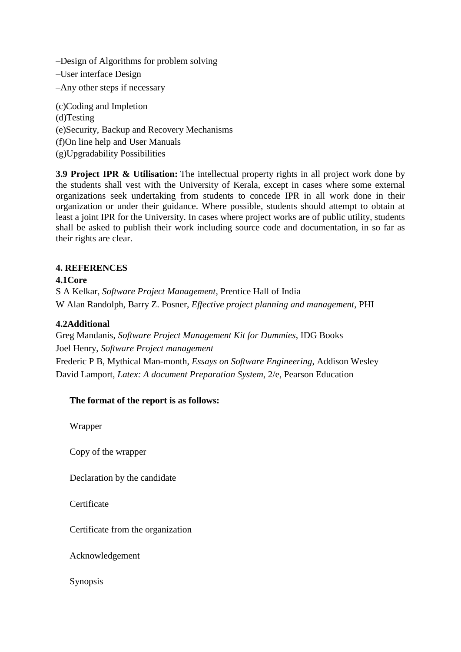–Design of Algorithms for problem solving

–User interface Design

–Any other steps if necessary

(c)Coding and Impletion (d)Testing (e)Security, Backup and Recovery Mechanisms (f)On line help and User Manuals (g)Upgradability Possibilities

**3.9 Project IPR & Utilisation:** The intellectual property rights in all project work done by the students shall vest with the University of Kerala, except in cases where some external organizations seek undertaking from students to concede IPR in all work done in their organization or under their guidance. Where possible, students should attempt to obtain at least a joint IPR for the University. In cases where project works are of public utility, students shall be asked to publish their work including source code and documentation, in so far as their rights are clear.

## **4. REFERENCES**

## **4.1Core**

S A Kelkar, *Software Project Management*, Prentice Hall of India W Alan Randolph, Barry Z. Posner, *Effective project planning and management*, PHI

## **4.2Additional**

Greg Mandanis, *Software Project Management Kit for Dummies*, IDG Books Joel Henry, *Software Project management* Frederic P B, Mythical Man-month, *Essays on Software Engineering*, Addison Wesley David Lamport, *Latex: A document Preparation System*, 2/e, Pearson Education

## **The format of the report is as follows:**

Wrapper

Copy of the wrapper

Declaration by the candidate

**Certificate** 

Certificate from the organization

Acknowledgement

Synopsis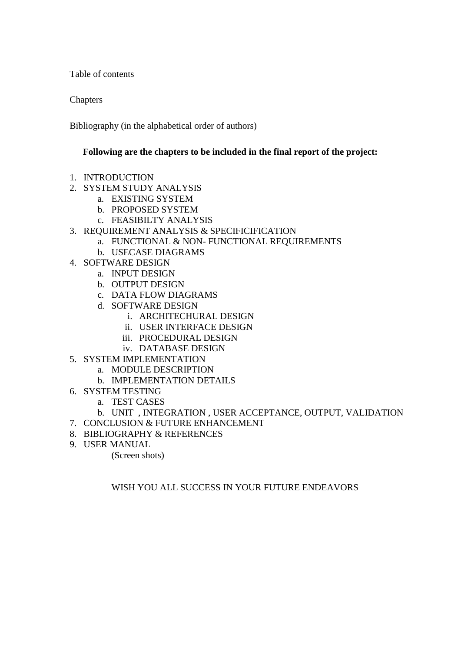Table of contents

**Chapters** 

Bibliography (in the alphabetical order of authors)

#### **Following are the chapters to be included in the final report of the project:**

- 1. INTRODUCTION
- 2. SYSTEM STUDY ANALYSIS
	- a. EXISTING SYSTEM
	- b. PROPOSED SYSTEM
	- c. FEASIBILTY ANALYSIS
- 3. REQUIREMENT ANALYSIS & SPECIFICIFICATION
	- a. FUNCTIONAL & NON- FUNCTIONAL REQUIREMENTS
		- b. USECASE DIAGRAMS
- 4. SOFTWARE DESIGN
	- a. INPUT DESIGN
	- b. OUTPUT DESIGN
	- c. DATA FLOW DIAGRAMS
	- d. SOFTWARE DESIGN
		- i. ARCHITECHURAL DESIGN
		- ii. USER INTERFACE DESIGN
		- iii. PROCEDURAL DESIGN
		- iv. DATABASE DESIGN
- 5. SYSTEM IMPLEMENTATION
	- a. MODULE DESCRIPTION
	- b. IMPLEMENTATION DETAILS
- 6. SYSTEM TESTING
	- a. TEST CASES
	- b. UNIT , INTEGRATION , USER ACCEPTANCE, OUTPUT, VALIDATION
- 7. CONCLUSION & FUTURE ENHANCEMENT
- 8. BIBLIOGRAPHY & REFERENCES
- 9. USER MANUAL

(Screen shots)

WISH YOU ALL SUCCESS IN YOUR FUTURE ENDEAVORS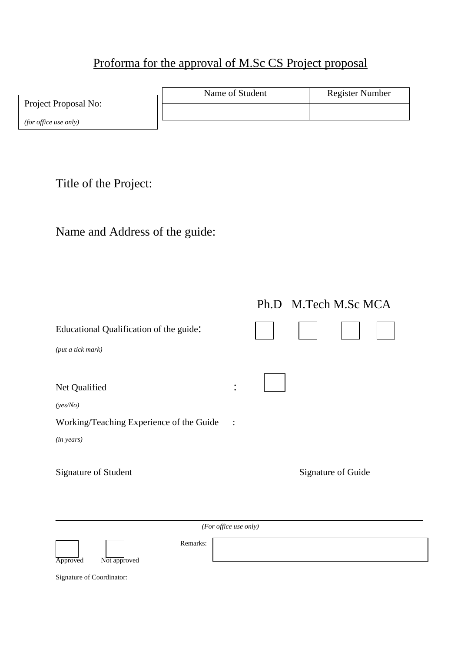# Proforma for the approval of M.Sc CS Project proposal

|                              | Name of Student | <b>Register Number</b> |  |
|------------------------------|-----------------|------------------------|--|
| Project Proposal No:         |                 |                        |  |
| <i>(for office use only)</i> |                 |                        |  |

Title of the Project:

# Name and Address of the guide:

| $\bullet$      |  |                                            |
|----------------|--|--------------------------------------------|
|                |  |                                            |
| $\mathbb{R}^2$ |  |                                            |
|                |  |                                            |
|                |  |                                            |
|                |  |                                            |
|                |  | Ph.D M.Tech M.Sc MCA<br>Signature of Guide |

*(For office use only)*

Approved Not approved

Remarks:

Signature of Coordinator: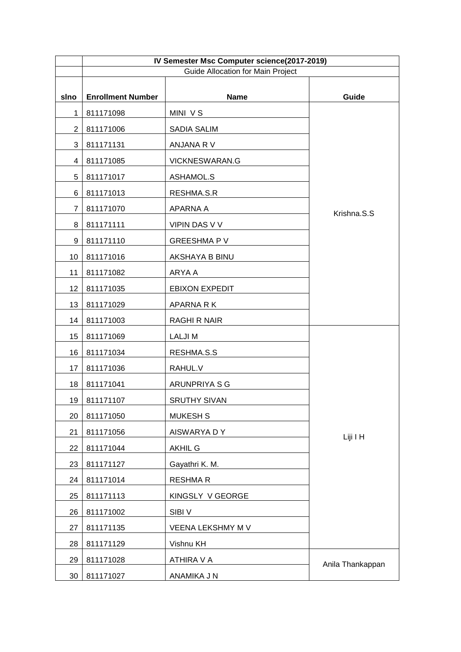|                | IV Semester Msc Computer science(2017-2019) |                       |                  |  |
|----------------|---------------------------------------------|-----------------------|------------------|--|
|                | <b>Guide Allocation for Main Project</b>    |                       |                  |  |
| sino           | <b>Enrollment Number</b>                    | <b>Name</b>           | Guide            |  |
| $\mathbf 1$    | 811171098                                   | MINI VS               |                  |  |
| $\overline{2}$ | 811171006                                   | SADIA SALIM           |                  |  |
| 3              | 811171131                                   | ANJANA R V            |                  |  |
| 4              | 811171085                                   | VICKNESWARAN.G        |                  |  |
| 5              | 811171017                                   | ASHAMOL.S             |                  |  |
| 6              | 811171013                                   | RESHMA.S.R            |                  |  |
| $\overline{7}$ | 811171070                                   | APARNA A              | Krishna.S.S      |  |
| 8              | 811171111                                   | VIPIN DAS V V         |                  |  |
| 9              | 811171110                                   | <b>GREESHMAPV</b>     |                  |  |
| 10             | 811171016                                   | AKSHAYA B BINU        |                  |  |
| 11             | 811171082                                   | ARYA A                |                  |  |
| 12             | 811171035                                   | <b>EBIXON EXPEDIT</b> |                  |  |
| 13             | 811171029                                   | APARNA R K            |                  |  |
| 14             | 811171003                                   | <b>RAGHI R NAIR</b>   |                  |  |
| 15             | 811171069                                   | <b>LALJIM</b>         |                  |  |
| 16             | 811171034                                   | RESHMA.S.S            |                  |  |
| 17             | 811171036                                   | RAHUL.V               |                  |  |
| 18             | 811171041                                   | ARUNPRIYA S G         |                  |  |
| 19             | 811171107                                   | <b>SRUTHY SIVAN</b>   |                  |  |
| 20             | 811171050                                   | <b>MUKESH S</b>       |                  |  |
| 21             | 811171056                                   | AISWARYA DY           | Liji I H         |  |
| 22             | 811171044                                   | <b>AKHIL G</b>        |                  |  |
| 23             | 811171127                                   | Gayathri K. M.        |                  |  |
| 24             | 811171014                                   | <b>RESHMAR</b>        |                  |  |
| 25             | 811171113                                   | KINGSLY V GEORGE      |                  |  |
| 26             | 811171002                                   | SIBI <sub>V</sub>     |                  |  |
| 27             | 811171135                                   | VEENA LEKSHMY M V     |                  |  |
| 28             | 811171129                                   | Vishnu KH             |                  |  |
| 29             | 811171028                                   | ATHIRA V A            | Anila Thankappan |  |
| 30             | 811171027                                   | ANAMIKA J N           |                  |  |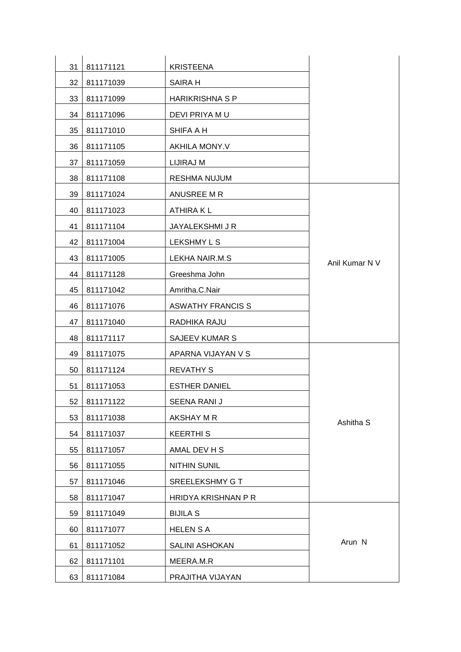| 31 | 811171121    | <b>KRISTEENA</b>         |                |
|----|--------------|--------------------------|----------------|
| 32 | 811171039    | SAIRA H                  |                |
| 33 | 811171099    | <b>HARIKRISHNA S P</b>   |                |
| 34 | 811171096    | DEVI PRIYA MU            |                |
| 35 | 811171010    | SHIFA A H                |                |
| 36 | 811171105    | AKHILA MONY.V            |                |
| 37 | 811171059    | LIJIRAJ M                |                |
| 38 | 811171108    | <b>RESHMA NUJUM</b>      |                |
| 39 | 811171024    | ANUSREE M R              |                |
| 40 | 811171023    | ATHIRA K L               |                |
| 41 | 811171104    | JAYALEKSHMI J R          |                |
| 42 | 811171004    | LEKSHMY L S              |                |
| 43 | 811171005    | LEKHA NAIR.M.S           | Anil Kumar N V |
| 44 | 811171128    | Greeshma John            |                |
| 45 | 811171042    | Amritha.C.Nair           |                |
| 46 | 811171076    | <b>ASWATHY FRANCIS S</b> |                |
| 47 | 811171040    | RADHIKA RAJU             |                |
| 48 | 811171117    | SAJEEV KUMAR S           |                |
| 49 | 811171075    | APARNA VIJAYAN V S       |                |
| 50 | 811171124    | <b>REVATHY S</b>         |                |
| 51 | 811171053    | <b>ESTHER DANIEL</b>     |                |
|    | 52 811171122 | SEENA RANI J             |                |
| 53 | 811171038    | AKSHAY M R               | Ashitha S      |
| 54 | 811171037    | <b>KEERTHIS</b>          |                |
| 55 | 811171057    | AMAL DEV H S             |                |
| 56 | 811171055    | <b>NITHIN SUNIL</b>      |                |
| 57 | 811171046    | SREELEKSHMY G T          |                |
| 58 | 811171047    | HRIDYA KRISHNAN P R      |                |
| 59 | 811171049    | <b>BIJILA S</b>          |                |
| 60 | 811171077    | <b>HELEN S A</b>         |                |
| 61 | 811171052    | <b>SALINI ASHOKAN</b>    | Arun N         |
| 62 | 811171101    | MEERA.M.R                |                |
| 63 | 811171084    | PRAJITHA VIJAYAN         |                |